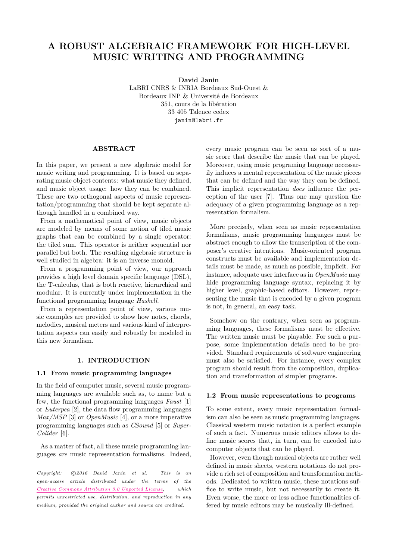# **A ROBUST ALGEBRAIC FRAMEWORK FOR HIGH-LEVEL MUSIC WRITING AND PROGRAMMING**

**David Janin**

LaBRI CNRS & INRIA Bordeaux Sud-Ouest & Bordeaux INP & Université de Bordeaux 351, cours de la libération 33 405 Talence cedex [janin@labri.fr](mailto:janin@labri.fr)

# **ABSTRACT**

In this paper, we present a new algebraic model for music writing and programming. It is based on separating music object contents: what music they defined, and music object usage: how they can be combined. These are two orthogonal aspects of music representation/programming that should be kept separate although handled in a combined way.

From a mathematical point of view, music objects are modeled by means of some notion of tiled music graphs that can be combined by a single operator: the tiled sum. This operator is neither sequential nor parallel but both. The resulting algebraic structure is well studied in algebra: it is an inverse monoid.

From a programming point of view, our approach provides a high level domain specific language (DSL), the T-calculus, that is both reactive, hierarchical and modular. It is currently under implementation in the functional programming language *Haskell*.

From a representation point of view, various music examples are provided to show how notes, chords, melodies, musical meters and various kind of interpretation aspects can easily and robustly be modeled in this new formalism.

#### **1. INTRODUCTION**

## **1.1 From music programming languages**

In the field of computer music, several music programming languages are available such as, to name but a few, the functional programming languages *Faust* [\[1\]](#page-7-0) or *Euterpea* [\[2\]](#page-7-1), the data flow programming languages *Max/MSP* [\[3\]](#page-7-2) or *OpenMusic* [\[4\]](#page-7-3), or a more imperative programming languages such as *CSound* [\[5\]](#page-7-4) or *Super-Colider* [\[6\]](#page-7-5).

As a matter of fact, all these music programming languages *are* music representation formalisms. Indeed,

*Copyright:*  $\bigcirc$  2016 David Janin et al. This is an *open-access article distributed under the terms of the [Creative Commons Attribution 3.0 Unported License,](http://creativecommons.org/licenses/by/3.0/) which permits unrestricted use, distribution, and reproduction in any medium, provided the original author and source are credited.*

every music program can be seen as sort of a music score that describe the music that can be played. Moreover, using music programing language necessarily induces a mental representation of the music pieces that can be defined and the way they can be defined. This implicit representation *does* influence the perception of the user [\[7\]](#page-7-6). Thus one may question the adequacy of a given programming language as a representation formalism.

More precisely, when seen as music representation formalisms, music programming languages must be abstract enough to allow the transcription of the composer's creative intentions. Music-oriented program constructs must be available and implementation details must be made, as much as possible, implicit. For instance, adequate user interface as in *OpenMusic* may hide programming language syntax, replacing it by higher level, graphic-based editors. However, representing the music that is encoded by a given program is not, in general, an easy task.

Somehow on the contrary, when seen as programming languages, these formalisms must be effective. The written music must be playable. For such a purpose, some implementation details need to be provided. Standard requirements of software engineering must also be satisfied. For instance, every complex program should result from the composition, duplication and transformation of simpler programs.

# **1.2 From music representations to programs**

To some extent, every music representation formalism can also be seen as music programming languages. Classical western music notation is a perfect example of such a fact. Numerous music editors allows to define music scores that, in turn, can be encoded into computer objects that can be played.

However, even though musical objects are rather well defined in music sheets, western notations do not provide a rich set of composition and transformation methods. Dedicated to written music, these notations suffice to write music, but not necessarily to create it. Even worse, the more or less adhoc functionalities offered by music editors may be musically ill-defined.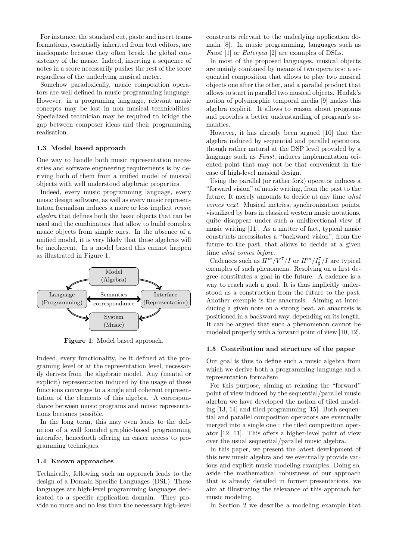For instance, the standard cut, paste and insert transformations, essentially inherited from text editors, are inadequate because they often break the global consistency of the music. Indeed, inserting a sequence of notes in a score necessarily pushes the rest of the score regardless of the underlying musical meter.

Somehow paradoxically, music composition operators are well defined in music programming language. However, in a programing language, relevant music concepts may be lost in non musical technicalities. Specialized technician may be required to bridge the gap between composer ideas and their programming realisation.

#### **1.3 Model based approach**

One way to handle both music representation necessities and software engineering requirements is by deriving both of them from a unified model of musical objects with well understood algebraic properties.

Indeed, every music programming language, every music design software, as well as every music representation formalism induces a more or less implicit *music algebra* that defines both the basic objects that can be used and the combinators that allow to build complex music objects from simple ones. In the absence of a unified model, it is very likely that these algebras will be incoherent. In a model based this cannot happen as illustrated in Figure [1.](#page-1-0)

<span id="page-1-0"></span>

**Figure 1**: Model based approach.

Indeed, every functionality, be it defined at the programing level or at the representation level, necessarily derives from the algebraic model. Any (mental or explicit) representation induced by the usage of these functions converges to a single and coherent representation of the elements of this algebra. A correspondance between music programs and music representations becomes possible.

In the long term, this may even leads to the definition of a well founded graphic-based programming interafce, henceforth offering an easier access to programming techniques.

## **1.4 Known approaches**

Technically, following such an approach leads to the design of a Domain Specific Languages (DSL). These languages are high-level programming languages dedicated to a specific application domain. They provide no more and no less than the necessary high-level constructs relevant to the underlying application domain [\[8\]](#page-7-7). In music programming, languages such as *Faust* [\[1\]](#page-7-0) or *Euterpea* [\[2\]](#page-7-1) are examples of DSLs.

In most of the proposed languages, musical objects are mainly combined by means of two operators: a sequential composition that allows to play two musical objects one after the other, and a parallel product that allows to start in parallel two musical objects. Hudak's notion of polymorphic temporal media [\[9\]](#page-7-8) makes this algebra explicit. It allows to reason about programs and provides a better understanding of program's semantics.

However, it has already been argued [\[10\]](#page-7-9) that the algebra induced by sequential and parallel operators, though rather natural at the DSP level provided by a language such as *Faust*, induces implementation oriented point that may not be that convenient in the case of high-level musical design.

Using the parallel (or rather fork) operator induces a "forward vision" of music writing, from the past to the future. It merely amounts to decide at any time *what comes next*. Musical metrics, synchronization points, visualized by bars in classical western music notations, quite disappear under such a unidirectional view of music writing [\[11\]](#page-7-10). As a matter of fact, typical music constructs necessitates a "backward vision", from the future to the past, that allows to decide at a given time *what comes before*.

Cadences such as  $I\ell^{m}/V^{7}/I$  or  $I\ell^{m}/I^{7}_{\sharp}/I$  are typical exemples of such phenomena. Resolving on a first degree constitutes a goal in the future. A cadence is a way to reach such a goal. It is thus implicitly understood as a construction from the future to the past. Another exemple is the anacrusis. Aiming at introducing a given note on a strong beat, an anacrusis is positioned in a backward way, depending on its length. It can be argued that such a phenomenon cannot be modeled properly with a forward point of view [\[10,](#page-7-9) [12\]](#page-7-11).

#### **1.5 Contribution and structure of the paper**

Our goal is thus to define such a music algebra from which we derive both a programming language and a representation formalism.

For this purpose, aiming at relaxing the "forward" point of view induced by the sequential/parallel music algebra we have developed the notion of tiled modeling [\[13,](#page-7-12) [14\]](#page-7-13) and tiled programming [\[15\]](#page-8-0). Both sequential and parallel composition operators are eventually merged into a single one : the tiled composition operator [\[12,](#page-7-11) [11\]](#page-7-10). This offers a higher-level point of view over the usual sequential/parallel music algebra.

In this paper, we present the latest development of this new music algebra and we eventually provide various and explicit music modeling examples. Doing so, aside the mathematical robustness of our approach that is already detailed in former presentations, we aim at illustrating the relevance of this approach for music modeling.

In Section [2](#page-2-0) we describe a modeling example that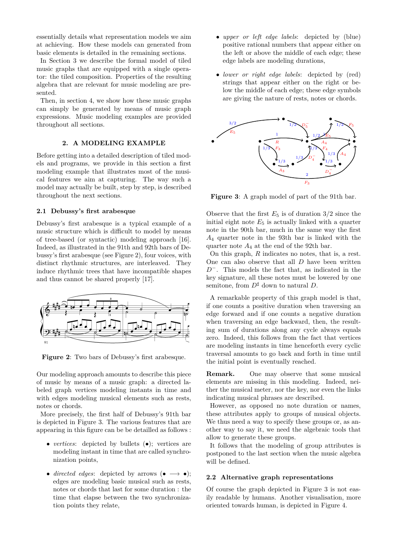essentially details what representation models we aim at achieving. How these models can generated from basic elements is detailed in the remaining sections.

In Section [3](#page-3-0) we describe the formal model of tiled music graphs that are equipped with a single operator: the tiled composition. Properties of the resulting algebra that are relevant for music modeling are presented.

Then, in section [4,](#page-5-0) we show how these music graphs can simply be generated by means of music graph expressions. Music modeling examples are provided throughout all sections.

## **2. A MODELING EXAMPLE**

<span id="page-2-0"></span>Before getting into a detailed description of tiled models and programs, we provide in this section a first modeling example that illustrates most of the musical features we aim at capturing. The way such a model may actually be built, step by step, is described throughout the next sections.

## **2.1 Debussy's first arabesque**

Debussy's first arabesque is a typical example of a music structure which is difficult to model by means of tree-based (or syntactic) modeling approach [\[16\]](#page-8-1). Indeed, as illustrated in the 91th and 92th bars of Debussy's first arabesque (see Figure [2\)](#page-2-1), four voices, with distinct rhythmic structures, are interleaved. They induce rhythmic trees that have incompatible shapes and thus cannot be shared properly [\[17\]](#page-8-2).

<span id="page-2-1"></span>

**Figure 2**: Two bars of Debussy's first arabesque.

Our modeling approach amounts to describe this piece of music by means of a music graph: a directed labeled graph vertices modeling instants in time and with edges modeling musical elements such as rests, notes or chords.

More precisely, the first half of Debussy's 91th bar is depicted in Figure [3.](#page-2-2) The various features that are appearing in this figure can be be detailled as follows :

- *vertices*: depicted by bullets (•); vertices are modeling instant in time that are called synchronization points,
- *directed edges*: depicted by arrows (•  $\longrightarrow \bullet$ ); edges are modeling basic musical such as rests, notes or chords that last for some duration : the time that elapse between the two synchronization points they relate,
- *upper or left edge labels*: depicted by (blue) positive rational numbers that appear either on the left or above the middle of each edge; these edge labels are modeling durations,
- *lower or right edge labels*: depicted by (red) strings that appear either on the right or below the middle of each edge; these edge symbols are giving the nature of rests, notes or chords.

<span id="page-2-2"></span>

**Figure 3**: A graph model of part of the 91th bar.

Observe that the first  $E_5$  is of duration  $3/2$  since the initial eight note  $E_5$  is actually linked with a quarter note in the 90th bar, much in the same way the first *A*<sup>4</sup> quarter note in the 93th bar is linked with the quarter note  $A_4$  at the end of the 92th bar.

On this graph, *R* indicates no notes, that is, a rest. One can also observe that all *D* have been written *D*<sup>−</sup>. This models the fact that, as indicated in the key signature, all these notes must be lowered by one semitone, from  $D^{\sharp}$  down to natural *D*.

A remarkable property of this graph model is that, if one counts a positive duration when traversing an edge forward and if one counts a negative duration when traversing an edge backward, then, the resulting sum of durations along any cycle always equals zero. Indeed, this follows from the fact that vertices are modeling instants in time henceforth every cyclic traversal amounts to go back and forth in time until the initial point is eventually reached.

**Remark.** One may observe that some musical elements are missing in this modeling. Indeed, neither the musical meter, nor the key, nor even the links indicating musical phrases are described.

However, as opposed no note duration or names, these attributes apply to groups of musical objects. We thus need a way to specify these groups or, as another way to say it, we need the algebraic tools that allow to generate these groups.

It follows that the modeling of group attributes is postponed to the last section when the music algebra will be defined.

## **2.2 Alternative graph representations**

Of course the graph depicted in Figure [3](#page-2-2) is not easily readable by humans. Another visualisation, more oriented towards human, is depicted in Figure [4.](#page-3-1)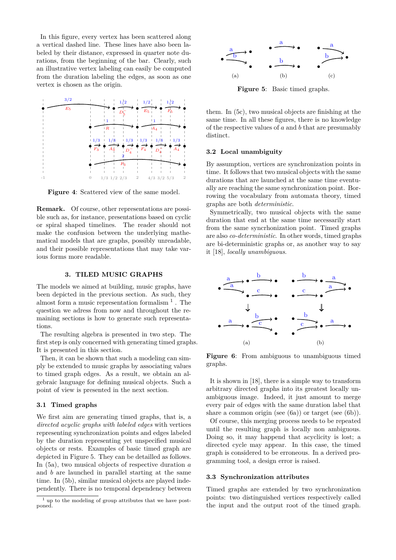In this figure, every vertex has been scattered along a vertical dashed line. These lines have also been labeled by their distance, expressed in quarter note durations, from the beginning of the bar. Clearly, such an illustrative vertex labeling can easily be computed from the duration labeling the edges, as soon as one vertex is chosen as the origin.

<span id="page-3-1"></span>

**Figure 4**: Scattered view of the same model.

**Remark.** Of course, other representations are possible such as, for instance, presentations based on cyclic or spiral shaped timelines. The reader should not make the confusion between the underlying mathematical models that are graphs, possibly unreadable, and their possible representations that may take various forms more readable.

# **3. TILED MUSIC GRAPHS**

<span id="page-3-0"></span>The models we aimed at building, music graphs, have been depicted in the previous section. As such, they almost form a music representation formalism  $<sup>1</sup>$  $<sup>1</sup>$  $<sup>1</sup>$ . The</sup> question we adress from now and throughout the remaining sections is how to generate such representations.

The resulting algebra is presented in two step. The first step is only concerned with generating timed graphs. It is presented in this section.

Then, it can be shown that such a modeling can simply be extended to music graphs by associating values to timed graph edges. As a result, we obtain an algebraic language for defining musical objects. Such a point of view is presented in the next section.

# **3.1 Timed graphs**

We first aim are generating timed graphs, that is, a *directed acyclic graphs with labeled edges* with vertices representing synchronization points and edges labeled by the duration representing yet unspecified musical objects or rests. Examples of basic timed graph are depicted in Figure [5.](#page-3-3) They can be detailled as follows. In [\(5a\)](#page-3-4), two musical objects of respective duration *a* and *b* are launched in parallel starting at the same time. In [\(5b\)](#page-3-5), similar musical objects are played independently. There is no temporal dependency between

<span id="page-3-4"></span><span id="page-3-3"></span>

<span id="page-3-6"></span><span id="page-3-5"></span>**Figure 5**: Basic timed graphs.

them. In [\(5c\)](#page-3-6), two musical objects are finishing at the same time. In all these figures, there is no knowledge of the respective values of *a* and *b* that are presumably distinct.

#### **3.2 Local unambiguity**

By assumption, vertices are synchronization points in time. It follows that two musical objects with the same durations that are launched at the same time eventually are reaching the same synchronization point. Borrowing the vocabulary from automata theory, timed graphs are both *deterministic*.

Symmetrically, two musical objects with the same duration that end at the same time necessarily start from the same syncrhonization point. Timed graphs are also *co-deterministic*. In other words, timed graphs are bi-deterministic graphs or, as another way to say it [\[18\]](#page-8-3), *locally unambiguous*.



<span id="page-3-8"></span><span id="page-3-7"></span>**Figure 6:** From ambiguous to unambiguous timed graphs.

It is shown in [\[18\]](#page-8-3), there is a simple way to transform arbitrary directed graphs into its greatest locally unambiguous image. Indeed, it just amount to merge every pair of edges with the same duration label that share a common origin (see [\(6a\)](#page-3-7)) or target (see [\(6b\)](#page-3-8)).

Of course, this merging process needs to be repeated until the resulting graph is locally non ambiguous. Doing so, it may happend that acyclicity is lost; a directed cycle may appear. In this case, the timed graph is considered to be erroneous. In a derived programming tool, a design error is raised.

#### **3.3 Synchronization attributes**

Timed graphs are extended by two synchronization points: two distinguished vertices respectively called the input and the output root of the timed graph.

<span id="page-3-2"></span> $<sup>1</sup>$  up to the modeling of group attributes that we have post-</sup> poned.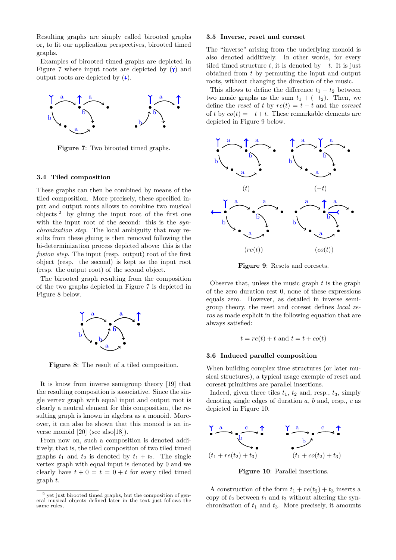Resulting graphs are simply called birooted graphs or, to fit our application perspectives, birooted timed graphs.

Examples of birooted timed graphs are depicted in Figure [7](#page-4-0) where input roots are depicted by  $(Y)$  and output roots are depicted by  $(\downarrow)$ .

<span id="page-4-0"></span>

**Figure 7**: Two birooted timed graphs.

#### **3.4 Tiled composition**

These graphs can then be combined by means of the tiled composition. More precisely, these specified input and output roots allows to combine two musical objects  $2$  by gluing the input root of the first one with the input root of the second: this is the *synchronization step*. The local ambiguity that may results from these gluing is then removed following the bi-determinization process depicted above: this is the *fusion step*. The input (resp. output) root of the first object (resp. the second) is kept as the input root (resp. the output root) of the second object.

<span id="page-4-2"></span>The birooted graph resulting from the composition of the two graphs depicted in Figure [7](#page-4-0) is depicted in Figure [8](#page-4-2) below.



**Figure 8**: The result of a tiled composition.

It is know from inverse semigroup theory [\[19\]](#page-8-4) that the resulting composition is associative. Since the single vertex graph with equal input and output root is clearly a neutral element for this composition, the resulting graph is known in algebra as a monoid. Moreover, it can also be shown that this monoid is an inverse monoid  $[20]$  (see also $[18]$ ).

From now on, such a composition is denoted additively, that is, the tiled composition of two tiled timed graphs  $t_1$  and  $t_2$  is denoted by  $t_1 + t_2$ . The single vertex graph with equal input is denoted by 0 and we clearly have  $t + 0 = t = 0 + t$  for every tiled timed graph *t*.

#### **3.5 Inverse, reset and coreset**

The "inverse" arising from the underlying monoid is also denoted additively. In other words, for every tiled timed structure  $t$ , it is denoted by  $-t$ . It is just obtained from *t* by permuting the input and output roots, without changing the direction of the music.

This allows to define the difference  $t_1 - t_2$  between two music graphs as the sum  $t_1 + (-t_2)$ . Then, we define the *reset* of *t* by  $re(t) = t - t$  and the *coreset* of *t* by  $co(t) = -t + t$ . These remarkable elements are depicted in Figure [9](#page-4-3) below.

<span id="page-4-3"></span>

**Figure 9**: Resets and coresets.

Observe that, unless the music graph *t* is the graph of the zero duration rest 0, none of these expressions equals zero. However, as detailed in inverse semigroup theory, the reset and coreset defines *local zeros* as made explicit in the following equation that are always satisfied:

$$
t = re(t) + t
$$
 and  $t = t + co(t)$ 

#### **3.6 Induced parallel composition**

When building complex time structures (or later musical structures), a typical usage exemple of reset and coreset primitives are parallel insertions.

Indeed, given three tiles  $t_1$ ,  $t_2$  and, resp.,  $t_3$ , simply denoting single edges of duration *a*, *b* and, resp., *c* as depicted in Figure [10.](#page-4-4)

<span id="page-4-4"></span>

**Figure 10**: Parallel insertions.

A construction of the form  $t_1 + re(t_2) + t_3$  inserts a copy of  $t_2$  between  $t_1$  and  $t_3$  without altering the synchronization of  $t_1$  and  $t_3$ . More precisely, it amounts

<span id="page-4-1"></span><sup>2</sup> yet just birooted timed graphs, but the composition of gen-eral musical objects defined later in the text just follows the same rules,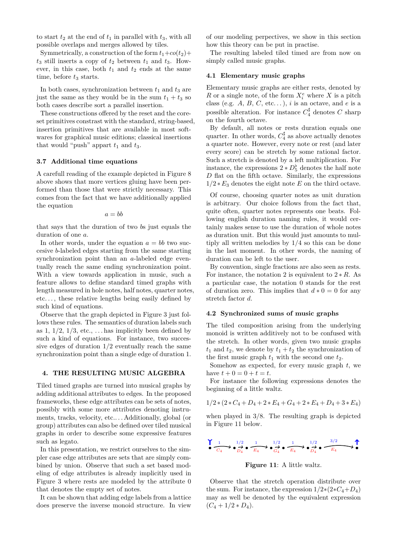to start  $t_2$  at the end of  $t_1$  in parallel with  $t_3$ , with all possible overlaps and merges allowed by tiles.

Symmetrically, a construction of the form  $t_1+c_0(t_2)+$  $t_3$  still inserts a copy of  $t_2$  between  $t_1$  and  $t_3$ . However, in this case, both  $t_1$  and  $t_2$  ends at the same time, before  $t_3$  starts.

In both cases, synchronization between  $t_1$  and  $t_3$  are just the same as they would be in the sum  $t_1 + t_3$  so both cases describe sort a parallel insertion.

These constructions offered by the reset and the coreset primitives constrast with the standard, string-based, insertion primitives that are available in most softwares for graphical music editions; classical insertions that would "push" appart  $t_1$  and  $t_3$ .

## **3.7 Additional time equations**

A carefull reading of the example depicted in Figure [8](#page-4-2) above shows that more vertices gluing have been performed than those that were strictly necessary. This comes from the fact that we have additionally applied the equation

$$
a = bb
$$

that says that the duration of two *b*s just equals the duration of one *a*.

In other words, under the equation  $a = bb$  two succesive *b*-labeled edges starting from the same starting synchronization point than an *a*-labeled edge eventually reach the same ending synchronization point. With a view towards application in music, such a feature allows to define standard timed graphs with length measured in hole notes, half notes, quarter notes, etc. . . , these relative lengths being easily defined by such kind of equations.

Observe that the graph depicted in Figure [3](#page-2-2) just follows these rules. The semantics of duration labels such as 1,  $1/2$ ,  $1/3$ , etc., ... has implicitly been defined by such a kind of equations. For instance, two successive edges of duration 1*/*2 eventually reach the same synchronization point than a single edge of duration 1.

## <span id="page-5-0"></span>**4. THE RESULTING MUSIC ALGEBRA**

Tiled timed graphs are turned into musical graphs by adding additional attributes to edges. In the proposed frameworks, these edge attributes can be sets of notes, possibly with some more attributes denoting instruments, tracks, velocity, etc.. . . Additionally, global (or group) attributes can also be defined over tiled musical graphs in order to describe some expressive features such as legato.

In this presentation, we restrict ourselves to the simpler case edge attributes are sets that are simply combined by union. Observe that such a set based modeling of edge attributes is already implicitly used in Figure [3](#page-2-2) where rests are modeled by the attribute 0 that denotes the empty set of notes.

It can be shown that adding edge labels from a lattice does preserve the inverse monoid structure. In view

of our modeling perpectives, we show in this section how this theory can be put in practise.

The resulting labeled tiled timed are from now on simply called music graphs.

## **4.1 Elementary music graphs**

Elementary music graphs are either rests, denoted by *R* or a single note, of the form  $X_i^e$  where *X* is a pitch class (e.g.  $A, B, C,$  etc...),  $i$  is an octave, and  $e$  is a possible alteration. For instance  $C_4^{\sharp}$  denotes  $C$  sharp on the fourth octave.

By default, all notes or rests duration equals one quarter. In other words,  $C_4^{\sharp}$  as above actually denotes a quarter note. However, every note or rest (and later every score) can be stretch by some rational factor. Such a stretch is denoted by a left multiplication. For instance, the expressions  $2 * D_5^{\flat}$  denotes the half note *D* flat on the fifth octave. Similarly, the expressions  $1/2 * E_3$  denotes the eight note *E* on the third octave.

Of course, choosing quarter notes as unit duration is arbitrary. Our choice follows from the fact that, quite often, quarter notes represents one beats. Following english duration naming rules, it would certainly makes sense to use the duration of whole notes as duration unit. But this would just amounts to multiply all written melodies by 1*/*4 so this can be done in the last moment. In other words, the naming of duration can be left to the user.

By convention, single fractions are also seen as rests. For instance, the notation 2 is equivalent to  $2 * R$ . As a particular case, the notation 0 stands for the rest of duration zero. This implies that  $d * 0 = 0$  for any stretch factor *d*.

#### **4.2 Synchronized sums of music graphs**

The tiled composition arising from the underlying monoid is written additively not to be confused with the stretch. In other words, given two music graphs  $t_1$  and  $t_2$ , we denote by  $t_1 + t_2$  the synchronization of the first music graph  $t_1$  with the second one  $t_2$ .

Somehow as expected, for every music graph *t*, we have  $t + 0 = 0 + t = t$ .

For instance the following expressions denotes the beginning of a little waltz.

$$
1/2 * (2 * C_4 + D_4 + 2 * E_4 + G_4 + 2 * E_4 + D_4 + 3 * E_4)
$$

when played in 3*/*8. The resulting graph is depicted in Figure [11](#page-5-1) below.

<span id="page-5-1"></span>
$$
\begin{array}{ccc}\n\bullet & \xrightarrow{1/2} & \xrightarrow{1/2} & \xrightarrow{1/2} & \xrightarrow{1/2} & \xrightarrow{1/2} & \xrightarrow{1/2} & \xrightarrow{3/2} & \xrightarrow{3/2} \\
\bullet & \xrightarrow{C_4} & \bullet & \xrightarrow{C_4} & \xrightarrow{C_4} & \xrightarrow{C_4} & \xrightarrow{C_4} & \xrightarrow{C_4} & \xrightarrow{C_4} & \xrightarrow{C_4} & \xrightarrow{C_4} & \xrightarrow{C_4} & \xrightarrow{C_4} & \xrightarrow{C_4} & \xrightarrow{C_4} & \xrightarrow{C_4} & \xrightarrow{C_4} & \xrightarrow{C_4} & \xrightarrow{C_4} & \xrightarrow{C_4} & \xrightarrow{C_4} & \xrightarrow{C_4} & \xrightarrow{C_4} & \xrightarrow{C_4} & \xrightarrow{C_4} & \xrightarrow{C_4} & \xrightarrow{C_4} & \xrightarrow{C_4} & \xrightarrow{C_4} & \xrightarrow{C_4} & \xrightarrow{C_4} & \xrightarrow{C_4} & \xrightarrow{C_4} & \xrightarrow{C_4} & \xrightarrow{C_4} & \xrightarrow{C_4} & \xrightarrow{C_4} & \xrightarrow{C_4} & \xrightarrow{C_4} & \xrightarrow{C_4} & \xrightarrow{C_4} & \xrightarrow{C_4} & \xrightarrow{C_4} & \xrightarrow{C_4} & \xrightarrow{C_4} & \xrightarrow{C_4} & \xrightarrow{C_4} & \xrightarrow{C_4} & \xrightarrow{C_4} & \xrightarrow{C_4} & \xrightarrow{C_4} & \xrightarrow{C_4} & \xrightarrow{C_4} & \xrightarrow{C_4} & \xrightarrow{C_4} & \xrightarrow{C_4} & \xrightarrow{C_4} & \xrightarrow{C_4} & \xrightarrow{C_4} & \xrightarrow{C_4} & \xrightarrow{C_4} & \xrightarrow{C_4} & \xrightarrow{C_4} & \xrightarrow{C_4} & \xrightarrow{C_4} & \xrightarrow{C_4} & \xrightarrow{C_4} & \xrightarrow{C_4} & \xrightarrow{C_4} & \xrightarrow{C_4} & \xrightarrow{C_4} & \xrightarrow{C_4} & \xrightarrow{C_4} & \xrightarrow{C_4} & \xrightarrow{C_4} & \xrightarrow{C_4} & \xrightarrow{C
$$

# **Figure 11**: A little waltz.

Observe that the stretch operation distribute over the sum. For instance, the expression  $1/2*(2*C_4+D_4)$ may as well be denoted by the equivalent expression  $(C_4 + 1/2 * D_4).$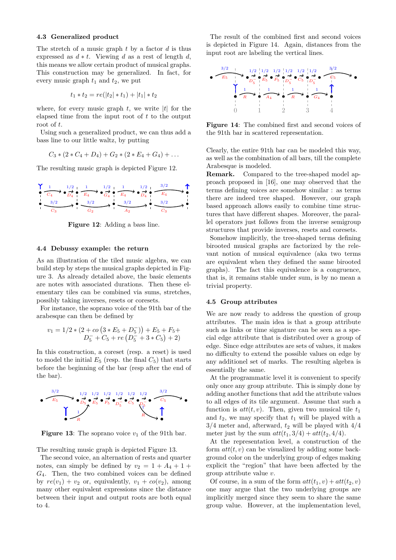# **4.3 Generalized product**

The stretch of a music graph *t* by a factor *d* is thus expressed as  $d * t$ . Viewing *d* as a rest of length *d*, this means we allow certain product of musical graphs. This construction may be generalized. In fact, for every music graph  $t_1$  and  $t_2$ , we put

$$
t_1 * t_2 = re(|t_2| * t_1) + |t_1| * t_2
$$

where, for every music graph  $t$ , we write  $|t|$  for the elapsed time from the input root of *t* to the output root of *t*.

Using such a generalized product, we can thus add a bass line to our little waltz, by putting

$$
C_3*(2*C_4+D_4)+G_2*(2*E_4+G_4)+\ldots
$$

The resulting music graph is depicted Figure [12.](#page-6-0)

<span id="page-6-0"></span>

**Figure 12**: Adding a bass line.

# **4.4 Debussy example: the return**

As an illustration of the tiled music algebra, we can build step by steps the musical graphs depicted in Figure [3.](#page-2-2) As already detailed above, the basic elements are notes with associated durations. Then these elementary tiles can be combined via sums, stretches, possibly taking inverses, resets or coresets.

For instance, the soprano voice of the 91th bar of the arabesque can then be defined by

$$
v_1 = 1/2 * (2 + co(3 * E_5 + D_5)) + E_5 + F_5 + D_5 + C_5 + re(D_5 + 3 * C_5) + 2)
$$

In this construction, a coreset (resp. a reset) is used to model the initial  $E_5$  (resp. the final  $C_5$ ) that starts before the beginning of the bar (resp after the end of the bar).

<span id="page-6-1"></span>

**Figure 13:** The soprano voice  $v_1$  of the 91th bar.

The resulting music graph is depicted Figure [13.](#page-6-1)

The second voice, an alternation of rests and quarter notes, can simply be defined by  $v_2 = 1 + A_4 + 1 +$ *G*4. Then, the two combined voices can be defined by  $re(v_1) + v_2$  or, equivalently,  $v_1 + co(v_2)$ , among many other equivalent expressions since the distance between their input and output roots are both equal to 4.

The result of the combined first and second voices is depicted in Figure [14.](#page-6-2) Again, distances from the input root are labeling the vertical lines.

<span id="page-6-2"></span>

**Figure 14**: The combined first and second voices of the 91th bar in scattered representation.

Clearly, the entire 91th bar can be modeled this way, as well as the combination of all bars, till the complete Arabesque is modeled.

**Remark.** Compared to the tree-shaped model approach proposed in [\[16\]](#page-8-1), one may observed that the terms defining voices are somehow similar : as terms there are indeed tree shaped. However, our graph based approach allows easily to combine time structures that have different shapes. Moreover, the parallel operators just follows from the inverse semigroup structures that provide inverses, resets and coresets.

Somehow implicitly, the tree-shaped terms defining birooted musical graphs are factorized by the relevant notion of musical equivalence (aka two terms are equivalent when they defined the same birooted graphs). The fact this equivalence is a congruence, that is, it remains stable under sum, is by no mean a trivial property.

## **4.5 Group attributes**

We are now ready to address the question of group attributes. The main idea is that a group attribute such as links or time signature can be seen as a special edge attribute that is distributed over a group of edge. Since edge attributes are sets of values, it makes no difficulty to extend the possible values on edge by any additionel set of marks. The resulting algebra is essentially the same.

At the programmatic level it is convenient to specify only once any group attribute. This is simply done by adding another functions that add the attribute values to all edges of its tile argument. Assume that such a function is  $att(t, v)$ . Then, given two musical tile  $t_1$ and  $t_2$ , we may specify that  $t_1$  will be played with a 3*/*4 meter and, afterward, *t*<sup>2</sup> will be played with 4*/*4 meter just by the sum  $att(t_1, 3/4) + att(t_2, 4/4)$ .

At the representation level, a construction of the form  $att(t, v)$  can be visualized by adding some background color on the underlying group of edges making explicit the "region" that have been affected by the group attribute value *v*.

Of course, in a sum of the form  $att(t_1, v) + att(t_2, v)$ one may argue that the two underlying groups are implicitly merged since they seem to share the same group value. However, at the implementation level,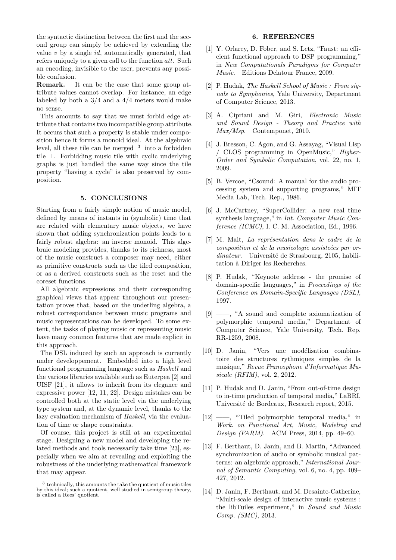the syntactic distinction between the first and the second group can simply be achieved by extending the value *v* by a single *id*, automatically generated, that refers uniquely to a given call to the function *att*. Such an encoding, invisible to the user, prevents any possible confusion.

**Remark.** It can be the case that some group attribute values cannot overlap. For instance, an edge labeled by both a 3*/*4 and a 4*/*4 meters would make no sense.

This amounts to say that we must forbid edge attribute that contains two incompatible group attribute. It occurs that such a property is stable under composition hence it forms a monoid ideal. At the algebraic level, all these tile can be merged  $3$  into a forbidden tile ⊥. Forbidding music tile with cyclic underlying graphs is just handled the same way since the tile property "having a cycle" is also preserved by composition.

## **5. CONCLUSIONS**

Starting from a fairly simple notion of music model, defined by means of instants in (symbolic) time that are related with elementary music objects, we have shown that adding synchronization points leads to a fairly robust algebra: an inverse monoid. This algebraic modeling provides, thanks to its richness, most of the music construct a composer may need, either as primitive constructs such as the tiled composition, or as a derived constructs such as the reset and the coreset functions.

All algebraic expressions and their corresponding graphical views that appear throughout our presentation proves that, based on the underling algebra, a robust correspondance between music programs and music representations can be developed. To some extent, the tasks of playing music or representing music have many common features that are made explicit in this approach.

The DSL induced by such an approach is currently under developpement. Embedded into a high level functional programming language such as *Haskell* and the various libraries available such as Euterpea [\[2\]](#page-7-1) and UISF [\[21\]](#page-8-6), it allows to inherit from its elegance and expressive power [\[12,](#page-7-11) [11,](#page-7-10) [22\]](#page-8-7). Design mistakes can be controlled both at the static level via the underlying type system and, at the dynamic level, thanks to the lazy evaluation mechanism of *Haskell*, via the evaluation of time or shape constraints.

Of course, this project is still at an experimental stage. Designing a new model and developing the related methods and tools necessarily take time [\[23\]](#page-8-8), especially when we aim at revealing and exploiting the robustness of the underlying mathematical framework that may appear.

#### **6. REFERENCES**

- <span id="page-7-0"></span>[1] Y. Orlarey, D. Fober, and S. Letz, "Faust: an efficient functional approach to DSP programming," in *New Computationals Paradigms for Computer Music*. Editions Delatour France, 2009.
- <span id="page-7-1"></span>[2] P. Hudak, *The Haskell School of Music : From signals to Symphonies*, Yale University, Department of Computer Science, 2013.
- <span id="page-7-2"></span>[3] A. Cipriani and M. Giri, *Electronic Music and Sound Design - Theory and Practice with Max/Msp*. Contemponet, 2010.
- <span id="page-7-3"></span>[4] J. Bresson, C. Agon, and G. Assayag, "Visual Lisp / CLOS programming in OpenMusic," *Higher-Order and Symbolic Computation*, vol. 22, no. 1, 2009.
- <span id="page-7-4"></span>[5] B. Vercoe, "Csound: A manual for the audio processing system and supporting programs," MIT Media Lab, Tech. Rep., 1986.
- <span id="page-7-5"></span>[6] J. McCartney, "SuperCollider: a new real time synthesis language," in *Int. Computer Music Conference (ICMC)*, I. C. M. Association, Ed., 1996.
- <span id="page-7-6"></span>[7] M. Malt, *La représentation dans le cadre de la composition et de la musicologie assisteées par ordinateur*. Université de Strasbourg, 2105, habilitation à Diriger les Recherches.
- <span id="page-7-7"></span>[8] P. Hudak, "Keynote address - the promise of domain-specific languages," in *Proceedings of the Conference on Domain-Specific Languages (DSL)*, 1997.
- <span id="page-7-8"></span>[9] ——, "A sound and complete axiomatization of polymorphic temporal media," Department of Computer Science, Yale University, Tech. Rep. RR-1259, 2008.
- <span id="page-7-9"></span>[10] D. Janin, "Vers une modélisation combinatoire des structures rythmiques simples de la musique," *Revue Francophone d'Informatique Musicale (RFIM)*, vol. 2, 2012.
- <span id="page-7-10"></span>[11] P. Hudak and D. Janin, "From out-of-time design to in-time production of temporal media," LaBRI, Université de Bordeaux, Research report, 2015.
- <span id="page-7-11"></span>[12] ——, "Tiled polymorphic temporal media," in *Work. on Functional Art, Music, Modeling and Design (FARM)*. ACM Press, 2014, pp. 49–60.
- <span id="page-7-12"></span>[13] F. Berthaut, D. Janin, and B. Martin, "Advanced synchronization of audio or symbolic musical patterns: an algebraic approach," *International Journal of Semantic Computing*, vol. 6, no. 4, pp. 409– 427, 2012.
- <span id="page-7-13"></span>[14] D. Janin, F. Berthaut, and M. Desainte-Catherine, "Multi-scale design of interactive music systems : the libTuiles experiment," in *Sound and Music Comp. (SMC)*, 2013.

<span id="page-7-14"></span><sup>&</sup>lt;sup>3</sup> technically, this amounts the take the quotient of music tiles by this ideal; such a quotient, well studied in semigroup theory, is called a Rees' quotient.